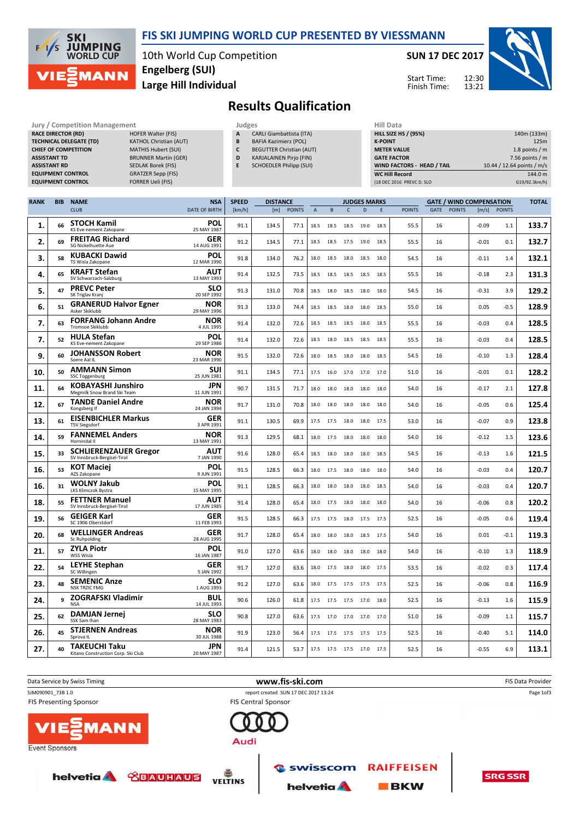

#### FIS SKI JUMPING WORLD CUP PRESENTED BY VIESSMANN

10th World Cup Competition Large Hill Individual Engelberg (SUI)

SUN 17 DEC 2017



Start Time: Finish Time:

# Results Qualification

| <b>Jury / Competition Management</b> |                               | Judges |                                 | Hill D        |
|--------------------------------------|-------------------------------|--------|---------------------------------|---------------|
| <b>RACE DIRECTOR (RD)</b>            |                               |        |                                 |               |
|                                      | <b>HOFER Walter (FIS)</b>     | А      | <b>CARLI Giambattista (ITA)</b> | <b>HILL S</b> |
| <b>TECHNICAL DELEGATE (TD)</b>       | <b>KATHOL Christian (AUT)</b> | B      | <b>BAFIA Kazimierz (POL)</b>    | <b>K-POII</b> |
| <b>CHIEF OF COMPETITION</b>          | <b>MATHIS Hubert (SUI)</b>    |        | <b>BEGUTTER Christian (AUT)</b> | <b>METEI</b>  |
| <b>ASSISTANT TD</b>                  | <b>BRUNNER Martin (GER)</b>   | D      | <b>KARJALAINEN Pirio (FIN)</b>  | <b>GATE</b>   |
| <b>ASSISTANT RD</b>                  | <b>SEDLAK Borek (FIS)</b>     |        | <b>SCHOEDLER Philipp (SUI)</b>  | <b>WIND</b>   |
| <b>EQUIPMENT CONTROL</b>             | <b>GRATZER Sepp (FIS)</b>     |        |                                 | WC Hi         |
| <b>EQUIPMENT CONTROL</b>             | <b>FORRER Ueli (FIS)</b>      |        |                                 | (18 DEC       |

| A | <b>CARLI Giambattista (ITA)</b> |
|---|---------------------------------|
| B | <b>BAFIA Kazimierz (POL)</b>    |
| C | <b>BEGUTTER Christian (AUT)</b> |
| D | <b>KARJALAINEN Pirio (FIN)</b>  |
|   |                                 |

- INEN Pirjo (FIN) E SCHOEDLER Philipp (SUI)
	-

| HIII Data                         |                            |
|-----------------------------------|----------------------------|
| <b>HILL SIZE HS / (95%)</b>       | 140m (133m)                |
| <b>K-POINT</b>                    | 125m                       |
| <b>METER VALUE</b>                | 1.8 points $/m$            |
| <b>GATE FACTOR</b>                | 7.56 points $/m$           |
| <b>WIND FACTORS - HEAD / TAIL</b> | 10.44 / 12.64 points / m/s |
| <b>WC Hill Record</b>             | 144.0 m                    |
| (18 DEC 2016 PREVC D. SLO         | G19/92.3km/h)              |

| <b>RANK</b> | <b>BIB</b> | <b>NAME</b>                                                 | <b>NSA</b>                | <b>SPEED</b> | <b>DISTANCE</b> |               |                |      |              | <b>JUDGES MARKS</b>      |      |               |      |               | <b>GATE / WIND COMPENSATION</b> |               | <b>TOTAL</b> |
|-------------|------------|-------------------------------------------------------------|---------------------------|--------------|-----------------|---------------|----------------|------|--------------|--------------------------|------|---------------|------|---------------|---------------------------------|---------------|--------------|
|             |            | <b>CLUB</b>                                                 | DATE OF BIRTH             | [km/h]       | [m]             | <b>POINTS</b> | $\overline{A}$ | B    | $\mathsf{C}$ | D                        | E    | <b>POINTS</b> | GATE | <b>POINTS</b> | [m/s]                           | <b>POINTS</b> |              |
| 1.          | 66         | <b>STOCH Kamil</b><br>KS Eve-nement Zakopane                | <b>POL</b><br>25 MAY 1987 | 91.1         | 134.5           | 77.1          | 18.5           | 18.5 | 18.5         | 19.0                     | 18.5 | 55.5          | 16   |               | $-0.09$                         | 1.1           | 133.7        |
| 2.          | 69         | <b>FREITAG Richard</b><br>SG Nickelhuette Aue               | GER<br>14 AUG 1991        | 91.2         | 134.5           | 77.1          | 18.5           | 18.5 | 17.5         | 19.0                     | 18.5 | 55.5          | 16   |               | $-0.01$                         | 0.1           | 132.7        |
| 3.          | 58         | <b>KUBACKI Dawid</b><br>TS Wisla Zakopane                   | POL<br>12 MAR 1990        | 91.8         | 134.0           | 76.2          | 18.0           | 18.5 | 18.0         | 18.5                     | 18.0 | 54.5          | 16   |               | $-0.11$                         | 1.4           | 132.1        |
| 4.          | 65         | <b>KRAFT Stefan</b><br>SV Schwarzach-Salzburg               | <b>AUT</b><br>13 MAY 1993 | 91.4         | 132.5           | 73.5          | 18.5           | 18.5 |              | 18.5 18.5                | 18.5 | 55.5          | 16   |               | $-0.18$                         | 2.3           | 131.3        |
| 5.          | 47         | <b>PREVC Peter</b><br>SK Triglav Kranj                      | <b>SLO</b><br>20 SEP 1992 | 91.3         | 131.0           | 70.8          | 18.5           | 18.0 | 18.5 18.0    |                          | 18.0 | 54.5          | 16   |               | $-0.31$                         | 3.9           | 129.2        |
| 6.          | 51         | <b>GRANERUD Halvor Egner</b><br>Asker Skiklubb              | <b>NOR</b><br>29 MAY 1996 | 91.3         | 133.0           | 74.4          | 18.5           | 18.5 | 18.0         | 18.0                     | 18.5 | 55.0          | 16   |               | 0.05                            | $-0.5$        | 128.9        |
| 7.          | 63         | <b>FORFANG Johann Andre</b><br><b>Tromsoe Skiklubb</b>      | <b>NOR</b><br>4 JUL 1995  | 91.4         | 132.0           | 72.6          | 18.5           | 18.5 | 18.5         | 18.0                     | 18.5 | 55.5          | 16   |               | $-0.03$                         | 0.4           | 128.5        |
| 7.          | 52         | <b>HULA Stefan</b><br>KS Eve-nement Zakopane                | POL<br>29 SEP 1986        | 91.4         | 132.0           | 72.6          | 18.5           | 18.0 |              | 18.5 18.5 18.5           |      | 55.5          | 16   |               | $-0.03$                         | 0.4           | 128.5        |
| 9.          | 60         | <b>JOHANSSON Robert</b><br>Soere Aal IL                     | <b>NOR</b><br>23 MAR 1990 | 91.5         | 132.0           | 72.6          | 18.0           | 18.5 | 18.0         | 18.0                     | 18.5 | 54.5          | 16   |               | $-0.10$                         | 1.3           | 128.4        |
| 10.         | 50         | <b>AMMANN Simon</b><br><b>SSC Toggenburg</b>                | SUI<br>25 JUN 1981        | 91.1         | 134.5           | 77.1          | 17.5           | 16.0 |              | 17.0 17.0 17.0           |      | 51.0          | 16   |               | $-0.01$                         | 0.1           | 128.2        |
| 11.         | 64         | KOBAYASHI Junshiro<br>Megmilk Snow Brand Ski Team           | <b>JPN</b><br>11 JUN 1991 | 90.7         | 131.5           | 71.7          | 18.0           | 18.0 | 18.0         | 18.0                     | 18.0 | 54.0          | 16   |               | $-0.17$                         | 2.1           | 127.8        |
| 12.         | 67         | <b>TANDE Daniel Andre</b><br>Kongsberg If                   | <b>NOR</b><br>24 JAN 1994 | 91.7         | 131.0           | 70.8          | 18.0           | 18.0 | 18.0         | 18.0                     | 18.0 | 54.0          | 16   |               | $-0.05$                         | 0.6           | 125.4        |
| 13.         | 61         | <b>EISENBICHLER Markus</b><br><b>TSV Siegsdorf</b>          | <b>GER</b><br>3 APR 1991  | 91.1         | 130.5           | 69.9          | 17.5           | 17.5 | 18.0         | 18.0                     | 17.5 | 53.0          | 16   |               | $-0.07$                         | 0.9           | 123.8        |
| 14.         | 59         | <b>FANNEMEL Anders</b><br>Hornindal II                      | NOR<br>13 MAY 1991        | 91.3         | 129.5           | 68.1          | 18.0           | 17.5 | 18.0         | 18.0                     | 18.0 | 54.0          | 16   |               | $-0.12$                         | 1.5           | 123.6        |
| 15.         | 33         | <b>SCHLIERENZAUER Gregor</b><br>SV Innsbruck-Bergisel-Tirol | AUT<br>7 JAN 1990         | 91.6         | 128.0           | 65.4          | 18.5           | 18.0 | 18.0         | 18.0                     | 18.5 | 54.5          | 16   |               | $-0.13$                         | 1.6           | 121.5        |
| 16.         | 53         | <b>KOT Maciej</b><br>AZS Zakopane                           | POL<br>9 JUN 1991         | 91.5         | 128.5           | 66.3          | 18.0           | 17.5 | 18.0         | 18.0                     | 18.0 | 54.0          | 16   |               | $-0.03$                         | 0.4           | 120.7        |
| 16.         | 31         | <b>WOLNY Jakub</b><br>LKS Klimczok Bystra                   | POL<br>15 MAY 1995        | 91.1         | 128.5           | 66.3          | 18.0           | 18.0 | 18.0         | 18.0                     | 18.5 | 54.0          | 16   |               | $-0.03$                         | 0.4           | 120.7        |
| 18.         | 55         | <b>FETTNER Manuel</b><br>SV Innsbruck-Bergisel-Tirol        | AUT<br>17 JUN 1985        | 91.4         | 128.0           | 65.4          | 18.0           | 17.5 | 18.0         | 18.0                     | 18.0 | 54.0          | 16   |               | $-0.06$                         | 0.8           | 120.2        |
| 19.         | 56         | <b>GEIGER Karl</b><br>SC 1906 Oberstdorf                    | GER<br>11 FEB 1993        | 91.5         | 128.5           | 66.3          | 17.5           | 17.5 | 18.0         | 17.5                     | 17.5 | 52.5          | 16   |               | $-0.05$                         | 0.6           | 119.4        |
| 20.         | 68         | <b>WELLINGER Andreas</b><br><b>Sc Ruhpolding</b>            | <b>GER</b><br>28 AUG 1995 | 91.7         | 128.0           | 65.4          | 18.0           | 18.0 | 18.0         | 18.5                     | 17.5 | 54.0          | 16   |               | 0.01                            | $-0.1$        | 119.3        |
| 21.         | 57         | <b>ZYLA Piotr</b><br>WSS Wisla                              | POL<br>16 JAN 1987        | 91.0         | 127.0           | 63.6          | 18.0           | 18.0 |              | 18.0 18.0 18.0           |      | 54.0          | 16   |               | $-0.10$                         | 1.3           | 118.9        |
| 22.         | 54         | <b>LEYHE Stephan</b><br>SC Willingen                        | GER<br>5 JAN 1992         | 91.7         | 127.0           | 63.6          | 18.0           | 17.5 | 18.0         | 18.0                     | 17.5 | 53.5          | 16   |               | $-0.02$                         | 0.3           | 117.4        |
| 23.         | 48         | <b>SEMENIC Anze</b><br><b>NSK TRZIC FMG</b>                 | <b>SLO</b><br>1 AUG 1993  | 91.2         | 127.0           | 63.6          | 18.0           | 17.5 | 17.5 17.5    |                          | 17.5 | 52.5          | 16   |               | $-0.06$                         | 0.8           | 116.9        |
| 24.         | q          | <b>ZOGRAFSKI Vladimir</b><br><b>NSA</b>                     | <b>BUL</b><br>14 JUL 1993 | 90.6         | 126.0           | 61.8          | 17.5           |      |              | 17.5 17.5 17.0 18.0      |      | 52.5          | 16   |               | $-0.13$                         | 1.6           | 115.9        |
| 25.         | 62         | <b>DAMJAN Jernej</b><br>SSK Sam Ihan                        | <b>SLO</b><br>28 MAY 1983 | 90.8         | 127.0           | 63.6          | 17.5           | 17.0 | 17.0         | 17.0                     | 17.0 | 51.0          | 16   |               | $-0.09$                         | 1.1           | 115.7        |
| 26.         | 45         | <b>STJERNEN Andreas</b><br>Sprova IL                        | <b>NOR</b><br>30 JUL 1988 | 91.9         | 123.0           | 56.4          | 17.5           | 17.5 | 17.5 17.5    |                          | 17.5 | 52.5          | 16   |               | $-0.40$                         | 5.1           | 114.0        |
| 27.         | 40         | <b>TAKEUCHI Taku</b><br>Kitano Construction Corp. Ski Club  | <b>JPN</b><br>20 MAY 1987 | 91.4         | 121.5           | 53.7          |                |      |              | 17.5 17.5 17.5 17.0 17.5 |      | 52.5          | 16   |               | $-0.55$                         | 6.9           | 113.1        |

| Data Service by Swiss Timing               |                     | www.fis-ski.com                      |                                 | <b>FIS Data Provider</b> |
|--------------------------------------------|---------------------|--------------------------------------|---------------------------------|--------------------------|
| SJM090901 73B 1.0                          |                     | report created SUN 17 DEC 2017 13:24 |                                 | Page 1of3                |
| <b>FIS Presenting Sponsor</b>              |                     | <b>FIS Central Sponsor</b>           |                                 |                          |
| <b>VIE MANN</b><br><b>Event Sponsors</b>   | Audi                |                                      |                                 |                          |
| <b><u> XBAUHAUS</u></b><br><b>helvetia</b> | Š<br><b>VELTINS</b> | Swisscom<br><b>helvetia</b>          | <b>RAIFFEISEN</b><br><b>BKW</b> | <b>SRG SSR</b>           |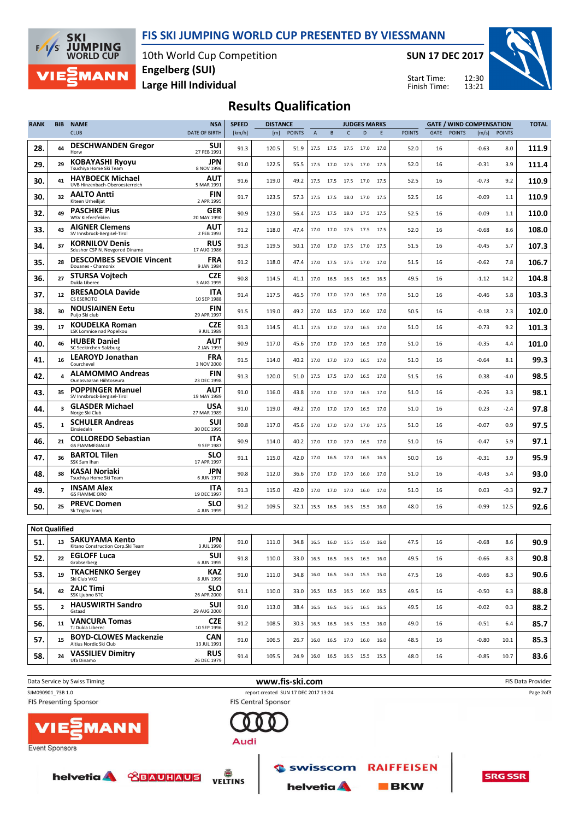



10th World Cup Competition Large Hill Individual Engelberg (SUI)

SUN 17 DEC 2017

Start Time: Finish Time:



### Results Qualification

| <b>RANK</b>          | <b>BIB</b>     | <b>NAME</b>                                                | <b>NSA</b>                | <b>SPEED</b> | <b>DISTANCE</b> |               |                |           |              | <b>JUDGES MARKS</b>          |      |               | <b>GATE / WIND COMPENSATION</b> |         |               | <b>TOTAL</b> |
|----------------------|----------------|------------------------------------------------------------|---------------------------|--------------|-----------------|---------------|----------------|-----------|--------------|------------------------------|------|---------------|---------------------------------|---------|---------------|--------------|
|                      |                | <b>CLUB</b>                                                | DATE OF BIRTH             | [km/h]       | [m]             | <b>POINTS</b> | $\overline{A}$ | B         | $\mathsf{C}$ | D                            | E    | <b>POINTS</b> | GATE<br><b>POINTS</b>           | [m/s]   | <b>POINTS</b> |              |
| 28.                  | 44             | <b>DESCHWANDEN Gregor</b><br>Horw                          | sui<br>27 FEB 1991        | 91.3         | 120.5           | 51.9          | 17.5           |           |              | 17.5 17.5 17.0 17.0          |      | 52.0          | 16                              | -0.63   | 8.0           | 111.9        |
| 29.                  | 29             | KOBAYASHI Ryoyu<br>Tsuchiya Home Ski Team                  | JPN<br>8 NOV 1996         | 91.0         | 122.5           | 55.5          | 17.5           | 17.0      | 17.5         | 17.0                         | 17.5 | 52.0          | 16                              | -0.31   | 3.9           | 111.4        |
| 30.                  | 41             | <b>HAYBOECK Michael</b><br>UVB Hinzenbach-Oberoesterreich  | AUT<br>5 MAR 1991         | 91.6         | 119.0           | 49.2          | 17.5           | 17.5      | 17.5         | 17.0 17.5                    |      | 52.5          | 16                              | -0.73   | 9.2           | 110.9        |
| 30.                  | 32             | <b>AALTO Antti</b><br>Kiteen Urheilijat                    | <b>FIN</b><br>2 APR 1995  | 91.7         | 123.5           | 57.3          | 17.5           | 17.5      | 18.0         | 17.0                         | 17.5 | 52.5          | 16                              | -0.09   | 1.1           | 110.9        |
| 32.                  | 49             | <b>PASCHKE Pius</b><br>WSV Kiefersfelden                   | GER<br>20 MAY 1990        | 90.9         | 123.0           | 56.4          | 17.5           |           |              | 17.5 18.0 17.5 17.5          |      | 52.5          | 16                              | $-0.09$ | 1.1           | 110.0        |
| 33.                  | 43             | <b>AIGNER Clemens</b><br>SV Innsbruck-Bergisel-Tirol       | AUT<br>2 FEB 1993         | 91.2         | 118.0           | 47.4          | 17.0           |           |              | 17.0 17.5 17.5 17.5          |      | 52.0          | 16                              | $-0.68$ | 8.6           | 108.0        |
| 34.                  | 37             | <b>KORNILOV Denis</b><br>Sdushor CSP N. Novgorod Dinamo    | <b>RUS</b><br>17 AUG 1986 | 91.3         | 119.5           | 50.1          | 17.0           | 17.0      | 17.5         | 17.0 17.5                    |      | 51.5          | 16                              | -0.45   | 5.7           | 107.3        |
| 35.                  | 28             | <b>DESCOMBES SEVOIE Vincent</b><br>Douanes - Chamonix      | <b>FRA</b><br>9 JAN 1984  | 91.2         | 118.0           | 47.4          | 17.0           | 17.5      | 17.5         | 17.0                         | 17.0 | 51.5          | 16                              | $-0.62$ | 7.8           | 106.7        |
| 36.                  | 27             | STURSA Vojtech<br>Dukla Liberec                            | <b>CZE</b><br>3 AUG 1995  | 90.8         | 114.5           | 41.1          | 17.0           | 16.5      | 16.5         | 16.5                         | 16.5 | 49.5          | 16                              | $-1.12$ | 14.2          | 104.8        |
| 37.                  | 12             | <b>BRESADOLA Davide</b><br>CS ESERCITO                     | ITA<br>10 SEP 1988        | 91.4         | 117.5           | 46.5          | 17.0           |           |              | 17.0 17.0 16.5 17.0          |      | 51.0          | 16                              | -0.46   | 5.8           | 103.3        |
| 38.                  | 30             | <b>NOUSIAINEN Eetu</b><br>Puijo Ski club                   | FIN<br>29 APR 1997        | 91.5         | 119.0           | 49.2          | 17.0           |           | 16.5 17.0    | 16.0 17.0                    |      | 50.5          | 16                              | -0.18   | 2.3           | 102.0        |
| 39.                  | 17             | <b>KOUDELKA Roman</b><br><b>LSK Lomnice nad Popelkou</b>   | <b>CZE</b><br>9 JUL 1989  | 91.3         | 114.5           | 41.1          | 17.5           | 17.0      | 17.0         | 16.5 17.0                    |      | 51.0          | 16                              | $-0.73$ | 9.2           | 101.3        |
| 40.                  | 46             | <b>HUBER Daniel</b><br>SC Seekirchen-Salzburg              | AUT<br>2 JAN 1993         | 90.9         | 117.0           | 45.6          | 17.0           | 17.0      | 17.0         | 16.5                         | 17.0 | 51.0          | 16                              | $-0.35$ | 4.4           | 101.0        |
| 41.                  | 16             | <b>LEAROYD Jonathan</b><br>Courchevel                      | <b>FRA</b><br>3 NOV 2000  | 91.5         | 114.0           | 40.2          | 17.0           | 17.0      | 17.0         | 16.5 17.0                    |      | 51.0          | 16                              | $-0.64$ | 8.1           | 99.3         |
| 42.                  |                | <b>ALAMOMMO Andreas</b><br>Ounasvaaran Hiihtoseura         | <b>FIN</b><br>23 DEC 1998 | 91.3         | 120.0           | 51.0          | 17.5           | 17.5 17.0 |              | 16.5 17.0                    |      | 51.5          | 16                              | 0.38    | $-4.0$        | 98.5         |
| 43.                  | 35             | <b>POPPINGER Manuel</b><br>SV Innsbruck-Bergisel-Tirol     | AUT<br>19 MAY 1989        | 91.0         | 116.0           | 43.8          | 17.0           | 17.0      | 17.0         | 16.5 17.0                    |      | 51.0          | 16                              | -0.26   | 3.3           | 98.1         |
| 44.                  | 3              | <b>GLASDER Michael</b><br>Norge Ski Club                   | USA<br>27 MAR 1989        | 91.0         | 119.0           | 49.2          | 17.0           | 17.0      | 17.0         | 16.5                         | 17.0 | 51.0          | 16                              | 0.23    | $-2.4$        | 97.8         |
| 45.                  | 1              | <b>SCHULER Andreas</b><br>Einsiedeln                       | suı<br>30 DEC 1995        | 90.8         | 117.0           | 45.6          | 17.0           | 17.0      | 17.0         | 17.0                         | 17.5 | 51.0          | 16                              | -0.07   | 0.9           | 97.5         |
| 46.                  | 21             | <b>COLLOREDO Sebastian</b><br><b>GS FIAMMEGIALLE</b>       | <b>ITA</b><br>9 SEP 1987  | 90.9         | 114.0           | 40.2          | 17.0           |           |              | 17.0 17.0 16.5 17.0          |      | 51.0          | 16                              | $-0.47$ | 5.9           | 97.1         |
| 47.                  | 36             | <b>BARTOL Tilen</b><br>SSK Sam Ihan                        | <b>SLO</b><br>17 APR 1997 | 91.1         | 115.0           | 42.0          | 17.0           |           | 16.5 17.0    | 16.5 16.5                    |      | 50.0          | 16                              | -0.31   | 3.9           | 95.9         |
| 48.                  | 38             | KASAI Noriaki<br>Tsuchiya Home Ski Team                    | JPN<br>6 JUN 1972         | 90.8         | 112.0           | 36.6          | 17.0           | 17.0      | 17.0         | 16.0                         | 17.0 | 51.0          | 16                              | -0.43   | 5.4           | 93.0         |
| 49.                  | $\overline{ }$ | <b>INSAM Alex</b><br><b>GS FIAMME ORO</b>                  | ITA<br>19 DEC 1997        | 91.3         | 115.0           | 42.0          | 17.0           | 17.0      | 17.0         | 16.0                         | 17.0 | 51.0          | 16                              | 0.03    | $-0.3$        | 92.7         |
| 50.                  | 25             | <b>PREVC Domen</b><br>Sk Triglav kranj                     | SLO<br>4 JUN 1999         | 91.2         | 109.5           | 32.1          | 15.5           |           |              | 16.5 16.5 15.5 16.0          |      | 48.0          | 16                              | -0.99   | 12.5          | 92.6         |
| <b>Not Qualified</b> |                |                                                            |                           |              |                 |               |                |           |              |                              |      |               |                                 |         |               |              |
| 51.                  | 13             | <b>SAKUYAMA Kento</b><br>Kitano Construction Corp.Ski Team | JPN<br>3 JUL 1990         | 91.0         | 111.0           | 34.8          | 16.5           |           |              | 16.0 15.5 15.0 16.0          |      | 47.5          | 16                              | $-0.68$ | 8.6           | 90.9         |
| 52.                  | 22             | <b>EGLOFF Luca</b><br>Grabserberg                          | SUI<br>6 JUN 1995         | 91.8         | 110.0           | 33.0          |                |           |              | 16.5 16.5 16.5 16.5 16.0     |      | 49.5          | 16                              | $-0.66$ | 8.3           | 90.8         |
| 53.                  | 19             | <b>TKACHENKO Sergey</b><br>Ski Club VKO                    | <b>KAZ</b><br>8 JUN 1999  | 91.0         | 111.0           | 34.8          |                |           |              | 16.0 16.5 16.0 15.5 15.0     |      | 47.5          | 16                              | $-0.66$ | 8.3           | 90.6         |
| 54.                  | 42             | <b>ZAJC Timi</b><br>SSK Ljubno BTC                         | <b>SLO</b><br>26 APR 2000 | 91.1         | 110.0           | 33.0          |                |           |              | 16.5 16.5 16.5 16.0 16.5     |      | 49.5          | 16                              | $-0.50$ | 6.3           | 88.8         |
| 55.                  | $\overline{2}$ | <b>HAUSWIRTH Sandro</b><br>Gstaad                          | <b>SUI</b><br>29 AUG 2000 | 91.0         | 113.0           | 38.4          |                |           |              | 16.5 16.5 16.5 16.5 16.5     |      | 49.5          | 16                              | $-0.02$ | 0.3           | 88.2         |
| 56.                  | 11             | <b>VANCURA Tomas</b><br>TJ Dukla Liberec                   | <b>CZE</b><br>10 SEP 1996 | 91.2         | 108.5           | 30.3          |                |           |              | 16.5 16.5 16.5 15.5 16.0     |      | 49.0          | 16                              | $-0.51$ | 6.4           | 85.7         |
| 57.                  | 15             | <b>BOYD-CLOWES Mackenzie</b><br>Altius Nordic Ski Club     | <b>CAN</b><br>13 JUL 1991 | 91.0         | 106.5           | 26.7          |                |           |              | 16.0  16.5  17.0  16.0  16.0 |      | 48.5          | 16                              | $-0.80$ | 10.1          | 85.3         |
| 58.                  | 24             | <b>VASSILIEV Dimitry</b><br>Ufa Dinamo                     | <b>RUS</b><br>26 DEC 1979 | 91.4         | 105.5           | 24.9          |                |           |              | 16.0 16.5 16.5 15.5 15.5     |      | 48.0          | 16                              | $-0.85$ | 10.7          | 83.6         |
|                      |                |                                                            |                           |              |                 |               |                |           |              |                              |      |               |                                 |         |               |              |



**Event Sponsors** 

helvetia & **CBAUHAUS** 



**RAIFFEISEN** swisscom

**helvetia** 

 $B$ **BKW**